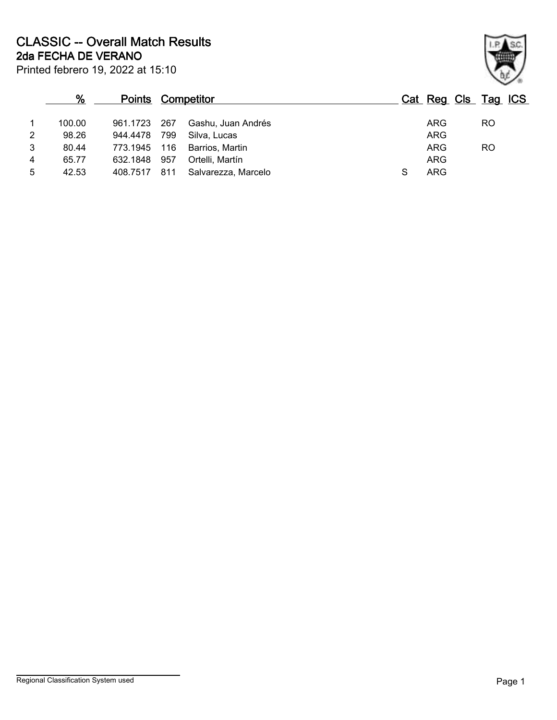Printed febrero 19, 2022 at 15:10 **2da FECHA DE VERANO CLASSIC -- Overall Match Results**

|                | %      |              | <b>Points Competitor</b> |                     |  |            | Cat Reg Cls Tag ICS |    |  |
|----------------|--------|--------------|--------------------------|---------------------|--|------------|---------------------|----|--|
| 1              | 100.00 | 961.1723 267 |                          | Gashu, Juan Andrés  |  | ARG        |                     | RO |  |
| $\overline{2}$ | 98.26  | 944.4478     | 799                      | Silva, Lucas        |  | <b>ARG</b> |                     |    |  |
| 3              | 80.44  | 773.1945     | 116                      | Barrios, Martin     |  | <b>ARG</b> |                     | RO |  |
| 4              | 65.77  | 632.1848     | 957                      | Ortelli, Martín     |  | <b>ARG</b> |                     |    |  |
| 5              | 42.53  | 408.7517     | 811                      | Salvarezza, Marcelo |  | ARG        |                     |    |  |

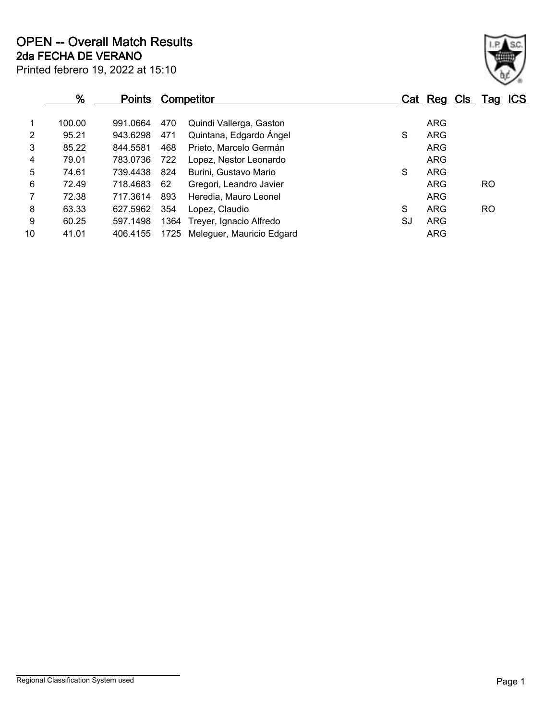|                | %      | <b>Points</b> |      | <b>Competitor</b>         |    | Cat Reg Cls Tag ICS |     |  |
|----------------|--------|---------------|------|---------------------------|----|---------------------|-----|--|
|                | 100.00 | 991.0664      | 470  | Quindi Vallerga, Gaston   |    | <b>ARG</b>          |     |  |
| $\overline{2}$ | 95.21  | 943.6298      | 471  | Quintana, Edgardo Ángel   | S  | <b>ARG</b>          |     |  |
| 3              | 85.22  | 844.5581      | 468  | Prieto, Marcelo Germán    |    | <b>ARG</b>          |     |  |
| 4              | 79.01  | 783.0736      | 722  | Lopez, Nestor Leonardo    |    | ARG                 |     |  |
| 5              | 74.61  | 739.4438      | 824  | Burini, Gustavo Mario     | S  | <b>ARG</b>          |     |  |
| 6              | 72.49  | 718.4683      | 62   | Gregori, Leandro Javier   |    | <b>ARG</b>          | RO. |  |
| $\mathbf{7}$   | 72.38  | 717.3614      | 893  | Heredia, Mauro Leonel     |    | <b>ARG</b>          |     |  |
| 8              | 63.33  | 627.5962      | 354  | Lopez, Claudio            | S  | <b>ARG</b>          | RO. |  |
| 9              | 60.25  | 597.1498      | 1364 | Treyer, Ignacio Alfredo   | SJ | <b>ARG</b>          |     |  |
| 10             | 41.01  | 406.4155      | 1725 | Meleguer, Mauricio Edgard |    | <b>ARG</b>          |     |  |

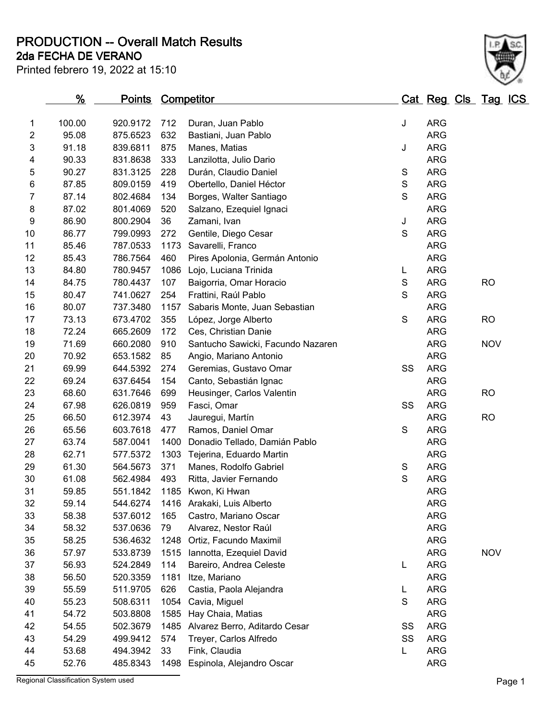**PRODUCTION -- Overall Match Results**

# **2da FECHA DE VERANO**

| 1                         | 100.00 | 920.9172 | 712  | Duran, Juan Pablo                 | J             | <b>ARG</b> |            |
|---------------------------|--------|----------|------|-----------------------------------|---------------|------------|------------|
| $\overline{2}$            | 95.08  | 875.6523 | 632  | Bastiani, Juan Pablo              |               | <b>ARG</b> |            |
| $\ensuremath{\mathsf{3}}$ | 91.18  | 839.6811 | 875  | Manes, Matias                     | J             | <b>ARG</b> |            |
| 4                         | 90.33  | 831.8638 | 333  | Lanzilotta, Julio Dario           |               | <b>ARG</b> |            |
| 5                         | 90.27  | 831.3125 | 228  | Durán, Claudio Daniel             | S             | <b>ARG</b> |            |
| 6                         | 87.85  | 809.0159 | 419  | Obertello, Daniel Héctor          | $\mathbf S$   | <b>ARG</b> |            |
| $\overline{7}$            | 87.14  | 802.4684 | 134  | Borges, Walter Santiago           | $\mathsf S$   | <b>ARG</b> |            |
| 8                         | 87.02  | 801.4069 | 520  | Salzano, Ezequiel Ignaci          |               | <b>ARG</b> |            |
| $\boldsymbol{9}$          | 86.90  | 800.2904 | 36   | Zamani, Ivan                      | J             | <b>ARG</b> |            |
| 10                        | 86.77  | 799.0993 | 272  | Gentile, Diego Cesar              | $\mathsf S$   | <b>ARG</b> |            |
| 11                        | 85.46  | 787.0533 | 1173 | Savarelli, Franco                 |               | <b>ARG</b> |            |
| 12                        | 85.43  | 786.7564 | 460  | Pires Apolonia, Germán Antonio    |               | <b>ARG</b> |            |
| 13                        | 84.80  | 780.9457 | 1086 | Lojo, Luciana Trinida             | L             | <b>ARG</b> |            |
| 14                        | 84.75  | 780.4437 | 107  | Baigorria, Omar Horacio           | $\mathbf S$   | <b>ARG</b> | <b>RO</b>  |
| 15                        | 80.47  | 741.0627 | 254  | Frattini, Raúl Pablo              | $\mathsf S$   | <b>ARG</b> |            |
| 16                        | 80.07  | 737.3480 | 1157 | Sabaris Monte, Juan Sebastian     |               | <b>ARG</b> |            |
| 17                        | 73.13  | 673.4702 | 355  | López, Jorge Alberto              | $\mathbf S$   | <b>ARG</b> | <b>RO</b>  |
| 18                        | 72.24  | 665.2609 | 172  | Ces, Christian Danie              |               | <b>ARG</b> |            |
| 19                        | 71.69  | 660.2080 | 910  | Santucho Sawicki, Facundo Nazaren |               | <b>ARG</b> | <b>NOV</b> |
| 20                        | 70.92  | 653.1582 | 85   | Angio, Mariano Antonio            |               | <b>ARG</b> |            |
| 21                        | 69.99  | 644.5392 | 274  | Geremias, Gustavo Omar            | SS            | <b>ARG</b> |            |
| 22                        | 69.24  | 637.6454 | 154  | Canto, Sebastián Ignac            |               | <b>ARG</b> |            |
| 23                        | 68.60  | 631.7646 | 699  | Heusinger, Carlos Valentin        |               | <b>ARG</b> | <b>RO</b>  |
| 24                        | 67.98  | 626.0819 | 959  | Fasci, Omar                       | SS            | <b>ARG</b> |            |
| 25                        | 66.50  | 612.3974 | 43   | Jauregui, Martín                  |               | <b>ARG</b> | <b>RO</b>  |
| 26                        | 65.56  | 603.7618 | 477  | Ramos, Daniel Omar                | ${\mathsf S}$ | <b>ARG</b> |            |
| 27                        | 63.74  | 587.0041 | 1400 | Donadio Tellado, Damián Pablo     |               | <b>ARG</b> |            |
| 28                        | 62.71  | 577.5372 | 1303 | Tejerina, Eduardo Martin          |               | <b>ARG</b> |            |
| 29                        | 61.30  | 564.5673 | 371  | Manes, Rodolfo Gabriel            | S             | <b>ARG</b> |            |
| 30                        | 61.08  | 562.4984 | 493  | Ritta, Javier Fernando            | $\mathsf S$   | <b>ARG</b> |            |
| 31                        | 59.85  | 551.1842 |      | 1185 Kwon, Ki Hwan                |               | <b>ARG</b> |            |
| 32                        | 59.14  | 544.6274 |      | 1416 Arakaki, Luis Alberto        |               | <b>ARG</b> |            |
| 33                        | 58.38  | 537.6012 | 165  | Castro, Mariano Oscar             |               | <b>ARG</b> |            |
| 34                        | 58.32  | 537.0636 | 79   | Alvarez, Nestor Raúl              |               | <b>ARG</b> |            |
| 35                        | 58.25  | 536.4632 | 1248 | Ortiz, Facundo Maximil            |               | <b>ARG</b> |            |
| 36                        | 57.97  | 533.8739 | 1515 | Iannotta, Ezequiel David          |               | <b>ARG</b> | <b>NOV</b> |
| 37                        | 56.93  | 524.2849 | 114  | Bareiro, Andrea Celeste           | L             | <b>ARG</b> |            |
| 38                        | 56.50  | 520.3359 | 1181 | Itze, Mariano                     |               | <b>ARG</b> |            |
| 39                        | 55.59  | 511.9705 | 626  | Castia, Paola Alejandra           | L             | <b>ARG</b> |            |
| 40                        | 55.23  | 508.6311 | 1054 | Cavia, Miguel                     | $\mathbf S$   | <b>ARG</b> |            |
| 41                        | 54.72  | 503.8808 | 1585 | Hay Chaia, Matias                 |               | <b>ARG</b> |            |
| 42                        | 54.55  | 502.3679 | 1485 | Alvarez Berro, Aditardo Cesar     | SS            | <b>ARG</b> |            |
| 43                        | 54.29  | 499.9412 | 574  | Treyer, Carlos Alfredo            | SS            | <b>ARG</b> |            |
| 44                        | 53.68  | 494.3942 | 33   | Fink, Claudia                     | L             | <b>ARG</b> |            |
| 45                        | 52.76  | 485.8343 | 1498 | Espinola, Alejandro Oscar         |               | <b>ARG</b> |            |
|                           |        |          |      |                                   |               |            |            |

**% Points Competitor Cat Reg Cls Tag ICS**

Regional Classification System used **Page 1** 

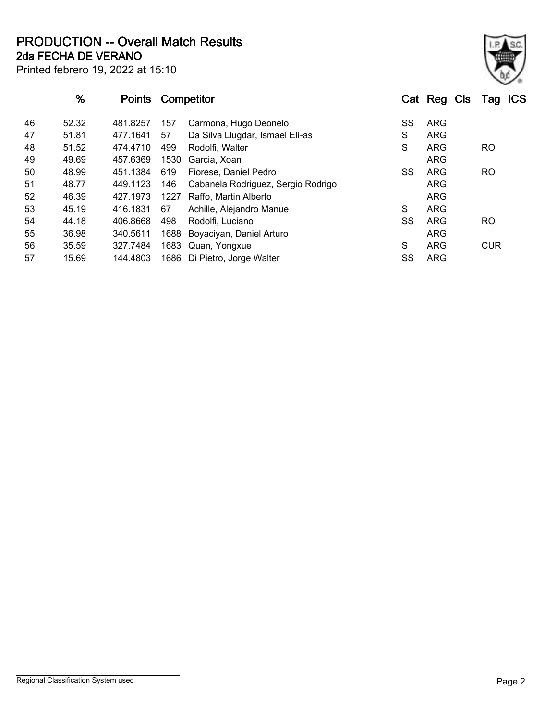**2da FECHA DE VERANO PRODUCTION -- Overall Match Results**

| Printed febrero 19, 2022 at 15:10 |  |  |  |  |  |
|-----------------------------------|--|--|--|--|--|
|-----------------------------------|--|--|--|--|--|

|    | $\frac{9}{6}$ | <b>Points</b> |      | <b>Competitor</b>                  |    |            | Cat Reg Cls Tag ICS |
|----|---------------|---------------|------|------------------------------------|----|------------|---------------------|
| 46 | 52.32         | 481.8257      | 157  | Carmona, Hugo Deonelo              | SS | ARG        |                     |
| 47 | 51.81         | 477.1641      | 57   | Da Silva Llugdar, Ismael Elí-as    | S  | <b>ARG</b> |                     |
| 48 | 51.52         | 474.4710      | 499  | Rodolfi, Walter                    | S  | <b>ARG</b> | RO.                 |
| 49 | 49.69         | 457.6369      | 1530 | Garcia, Xoan                       |    | <b>ARG</b> |                     |
| 50 | 48.99         | 451.1384      | 619  | Fiorese, Daniel Pedro              | SS | <b>ARG</b> | <b>RO</b>           |
| 51 | 48.77         | 449.1123      | 146  | Cabanela Rodriguez, Sergio Rodrigo |    | <b>ARG</b> |                     |
| 52 | 46.39         | 427.1973      | 1227 | Raffo, Martin Alberto              |    | <b>ARG</b> |                     |
| 53 | 45.19         | 416.1831      | 67   | Achille, Alejandro Manue           | S  | <b>ARG</b> |                     |
| 54 | 44.18         | 406.8668      | 498  | Rodolfi, Luciano                   | SS | ARG        | <b>RO</b>           |
| 55 | 36.98         | 340.5611      | 1688 | Boyaciyan, Daniel Arturo           |    | <b>ARG</b> |                     |
| 56 | 35.59         | 327.7484      | 1683 | Quan, Yongxue                      | S  | <b>ARG</b> | <b>CUR</b>          |
| 57 | 15.69         | 144.4803      | 1686 | Di Pietro, Jorge Walter            | SS | <b>ARG</b> |                     |
|    |               |               |      |                                    |    |            |                     |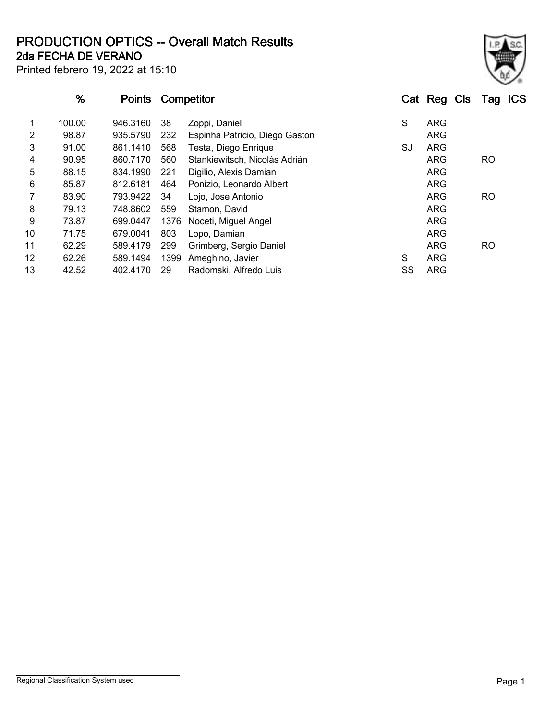**2da FECHA DE VERANO PRODUCTION OPTICS -- Overall Match Results**

| ł |
|---|

Printed febrero 19, 2022 at 15:10

### **% Points Competitor Cat Reg Cls Tag ICS** 1 100.00 946.3160 38 Zoppi, Daniel S ARG 2 98.87 935.5790 232 Espinha Patricio, Diego Gaston ARG 3 91.00 861.1410 568 Testa, Diego Enrique SJ ARG 4 90.95 860.7170 560 Stankiewitsch, Nicolás Adrián Christian ARG RO 5 88.15 834.1990 221 Digilio, Alexis Damian ARG 6 85.87 812.6181 464 Ponizio, Leonardo Albert ARG 7 83.90 793.9422 34 Lojo, Jose Antonio ARG RO 8 79.13 748.8602 559 Stamon, David ARG 79.13 ARG 9 73.87 699.0447 1376 Noceti, Miguel Angel Angel Angel ARG 10 71.75 679.0041 803 Lopo, Damian ARG 11 62.29 589.4179 299 Grimberg, Sergio Daniel **62.29 ARG** RO 12 62.26 589.1494 1399 Ameghino, Javier S ARG 13 42.52 402.4170 29 Radomski, Alfredo Luis SS ARG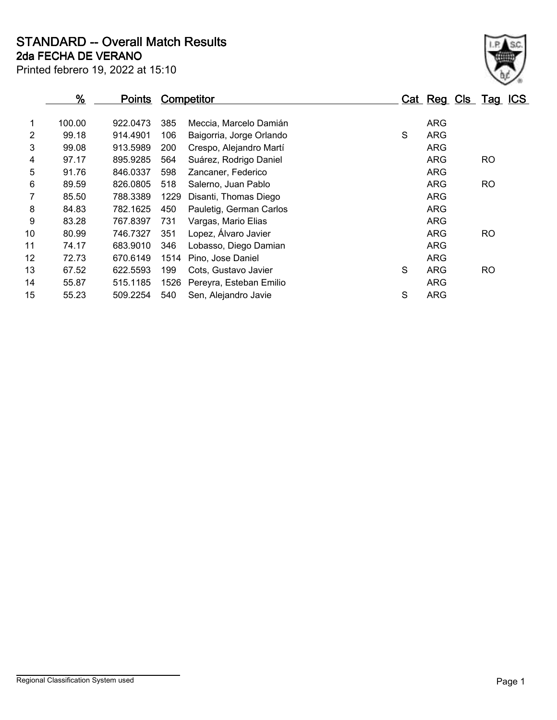**2da FECHA DE VERANO STANDARD -- Overall Match Results**

Printed febrero 19, 2022 at 15:10

|                | $\frac{9}{6}$ | <u>Points</u> |      | Competitor               |   | Cat Reg Cls Tag ICS |           |  |
|----------------|---------------|---------------|------|--------------------------|---|---------------------|-----------|--|
| 1              | 100.00        | 922.0473      | 385  | Meccia, Marcelo Damián   |   | ARG                 |           |  |
| $\overline{2}$ | 99.18         | 914.4901      | 106  | Baigorria, Jorge Orlando | S | <b>ARG</b>          |           |  |
| 3              | 99.08         | 913.5989      | 200  | Crespo, Alejandro Martí  |   | <b>ARG</b>          |           |  |
| 4              | 97.17         | 895.9285      | 564  | Suárez, Rodrigo Daniel   |   | <b>ARG</b>          | <b>RO</b> |  |
| 5              | 91.76         | 846.0337      | 598  | Zancaner, Federico       |   | <b>ARG</b>          |           |  |
| 6              | 89.59         | 826.0805      | 518  | Salerno, Juan Pablo      |   | <b>ARG</b>          | <b>RO</b> |  |
| 7              | 85.50         | 788.3389      | 1229 | Disanti, Thomas Diego    |   | <b>ARG</b>          |           |  |
| 8              | 84.83         | 782.1625      | 450  | Pauletig, German Carlos  |   | <b>ARG</b>          |           |  |
| 9              | 83.28         | 767.8397      | 731  | Vargas, Mario Elias      |   | <b>ARG</b>          |           |  |
| 10             | 80.99         | 746.7327      | 351  | Lopez, Álvaro Javier     |   | <b>ARG</b>          | RO        |  |
| 11             | 74.17         | 683.9010      | 346  | Lobasso, Diego Damian    |   | <b>ARG</b>          |           |  |
| 12             | 72.73         | 670.6149      | 1514 | Pino, Jose Daniel        |   | <b>ARG</b>          |           |  |
| 13             | 67.52         | 622.5593      | 199  | Cots, Gustavo Javier     | S | ARG                 | <b>RO</b> |  |
| 14             | 55.87         | 515.1185      | 1526 | Pereyra, Esteban Emilio  |   | <b>ARG</b>          |           |  |
| 15             | 55.23         | 509.2254      | 540  | Sen, Alejandro Javie     | S | <b>ARG</b>          |           |  |